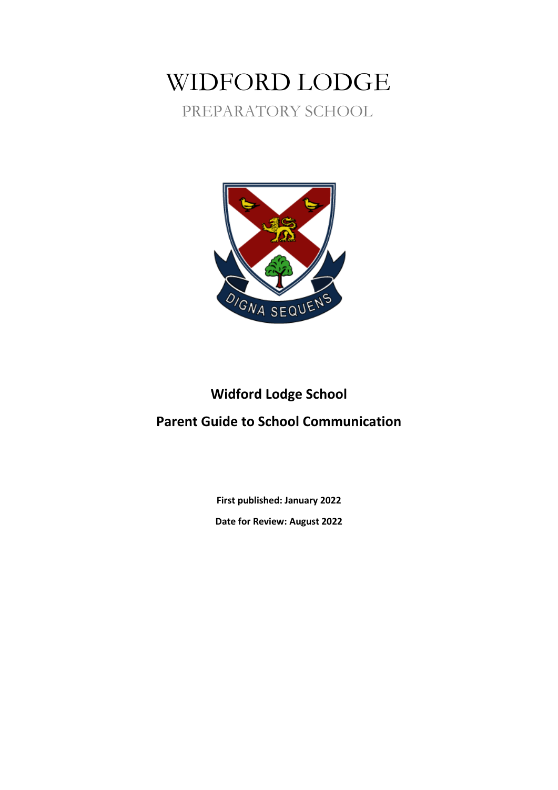## WIDFORD LODGE PREPARATORY SCHOOL



# **Widford Lodge School**

### **Parent Guide to School Communication**

**First published: January 2022 Date for Review: August 2022**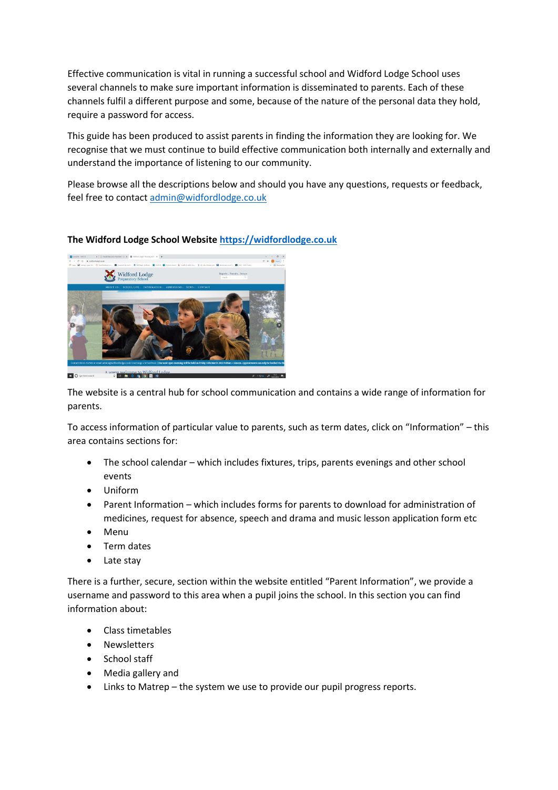Effective communication is vital in running a successful school and Widford Lodge School uses several channels to make sure important information is disseminated to parents. Each of these channels fulfil a different purpose and some, because of the nature of the personal data they hold, require a password for access.

This guide has been produced to assist parents in finding the information they are looking for. We recognise that we must continue to build effective communication both internally and externally and understand the importance of listening to our community.

Please browse all the descriptions below and should you have any questions, requests or feedback, feel free to contact [admin@widfordlodge.co.uk](mailto:admin@widfordlodge.co.uk)

#### **The Widford Lodge School Website [https://widfordlodge.co.uk](https://widfordlodge.co.uk/)**



The website is a central hub for school communication and contains a wide range of information for parents.

To access information of particular value to parents, such as term dates, click on "Information" – this area contains sections for:

- The school calendar which includes fixtures, trips, parents evenings and other school events
- Uniform
- Parent Information which includes forms for parents to download for administration of medicines, request for absence, speech and drama and music lesson application form etc
- Menu
- Term dates
- Late stay

There is a further, secure, section within the website entitled "Parent Information", we provide a username and password to this area when a pupil joins the school. In this section you can find information about:

- Class timetables
- Newsletters
- School staff
- Media gallery and
- Links to Matrep the system we use to provide our pupil progress reports.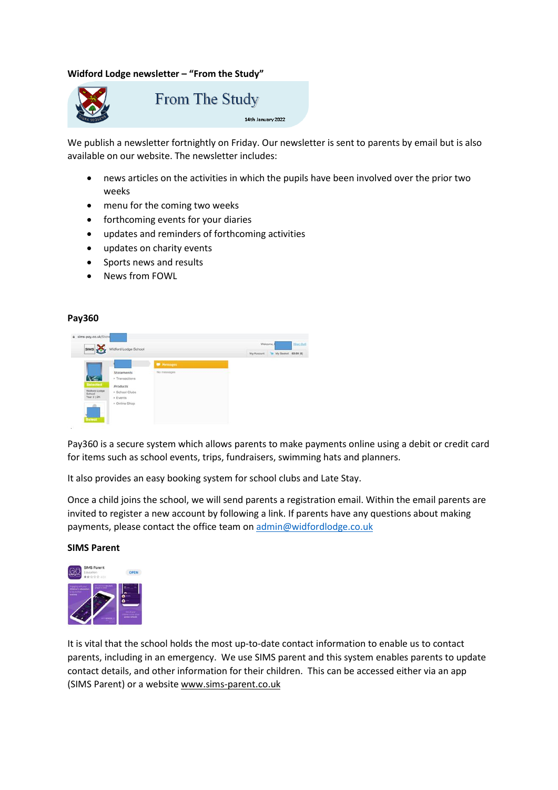#### **Widford Lodge newsletter – "From the Study"**



**From The Study** 

#### 14th January 2022

We publish a newsletter fortnightly on Friday. Our newsletter is sent to parents by email but is also available on our website. The newsletter includes:

- news articles on the activities in which the pupils have been involved over the prior two weeks
- menu for the coming two weeks
- forthcoming events for your diaries
- updates and reminders of forthcoming activities
- updates on charity events
- Sports news and results
- News from FOWL

#### **Pay360**

| SIMS X                    | Widford Lodge School         |                                  | My Account | My Basket £0.00 (0) |  |
|---------------------------|------------------------------|----------------------------------|------------|---------------------|--|
|                           |                              |                                  |            |                     |  |
|                           |                              | <b>W</b> Messages<br>No messages |            |                     |  |
| V-                        | Statements<br>* Transactions |                                  |            |                     |  |
| Selected<br>Widford Lodge | Products<br>+ School Clubs   |                                  |            |                     |  |
| School<br>Year 2   2K     | > Events<br>· Online Shop    |                                  |            |                     |  |

Pay360 is a secure system which allows parents to make payments online using a debit or credit card for items such as school events, trips, fundraisers, swimming hats and planners.

It also provides an easy booking system for school clubs and Late Stay.

Once a child joins the school, we will send parents a registration email. Within the email parents are invited to register a new account by following a link. If parents have any questions about making payments, please contact the office team on [admin@widfordlodge.co.uk](mailto:admin@widfordlodge.co.uk)

#### **SIMS Parent**



It is vital that the school holds the most up-to-date contact information to enable us to contact parents, including in an emergency. We use SIMS parent and this system enables parents to update contact details, and other information for their children. This can be accessed either via an app (SIMS Parent) or a website [www.sims-parent.co.uk](http://www.sims-parent.co.uk/)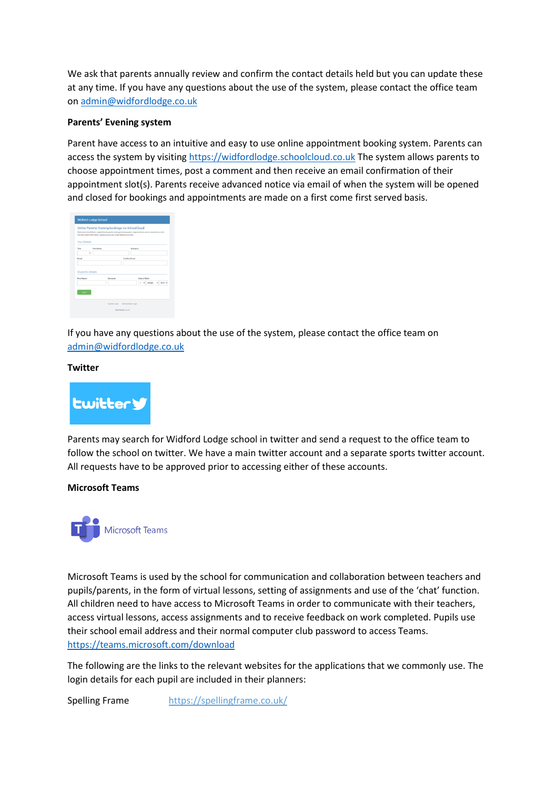We ask that parents annually review and confirm the contact details held but you can update these at any time. If you have any questions about the use of the system, please contact the office team on [admin@widfordlodge.co.uk](mailto:admin@widfordlodge.co.uk)

#### **Parents' Evening system**

Parent have access to an intuitive and easy to use online appointment booking system. Parents can access the system by visiting [https://widfordlodge.schoolcloud.co.uk](https://widfordlodge.schoolcloud.co.uk/) The system allows parents to choose appointment times, post a comment and then receive an email confirmation of their appointment slot(s). Parents receive advanced notice via email of when the system will be opened and closed for bookings and appointments are made on a first come first served basis.

|                                               |                   | Online Parents' Evening bookings via SchoolCloud<br>Welcome to the Widford Lodge School parents' evening booking system. Appointments can be arrended via a link<br>from the email confirmation -please ensure your email address is correct. |               |   |               |         |      |
|-----------------------------------------------|-------------------|-----------------------------------------------------------------------------------------------------------------------------------------------------------------------------------------------------------------------------------------------|---------------|---|---------------|---------|------|
| <b>Your Details</b>                           |                   |                                                                                                                                                                                                                                               |               |   |               |         |      |
| Title                                         | <b>First Name</b> |                                                                                                                                                                                                                                               | Samana        |   |               |         |      |
| Email                                         |                   |                                                                                                                                                                                                                                               | Confirm Email |   |               |         |      |
|                                               |                   |                                                                                                                                                                                                                                               |               |   |               |         |      |
|                                               |                   | Samama                                                                                                                                                                                                                                        |               |   | Date of Birth |         |      |
| <b>Student's Details</b><br><b>Elect Name</b> |                   |                                                                                                                                                                                                                                               |               | ٠ |               | January | 2010 |
| Log in                                        |                   |                                                                                                                                                                                                                                               |               |   |               |         |      |

If you have any questions about the use of the system, please contact the office team on [admin@widfordlodge.co.uk](mailto:admin@widfordlodge.co.uk)

#### **Twitter**



Parents may search for Widford Lodge school in twitter and send a request to the office team to follow the school on twitter. We have a main twitter account and a separate sports twitter account. All requests have to be approved prior to accessing either of these accounts.

#### **Microsoft Teams**



Microsoft Teams is used by the school for communication and collaboration between teachers and pupils/parents, in the form of virtual lessons, setting of assignments and use of the 'chat' function. All children need to have access to Microsoft Teams in order to communicate with their teachers, access virtual lessons, access assignments and to receive feedback on work completed. Pupils use their school email address and their normal computer club password to access Teams. <https://teams.microsoft.com/download>

The following are the links to the relevant websites for the applications that we commonly use. The login details for each pupil are included in their planners:

Spelling Frame <https://spellingframe.co.uk/>